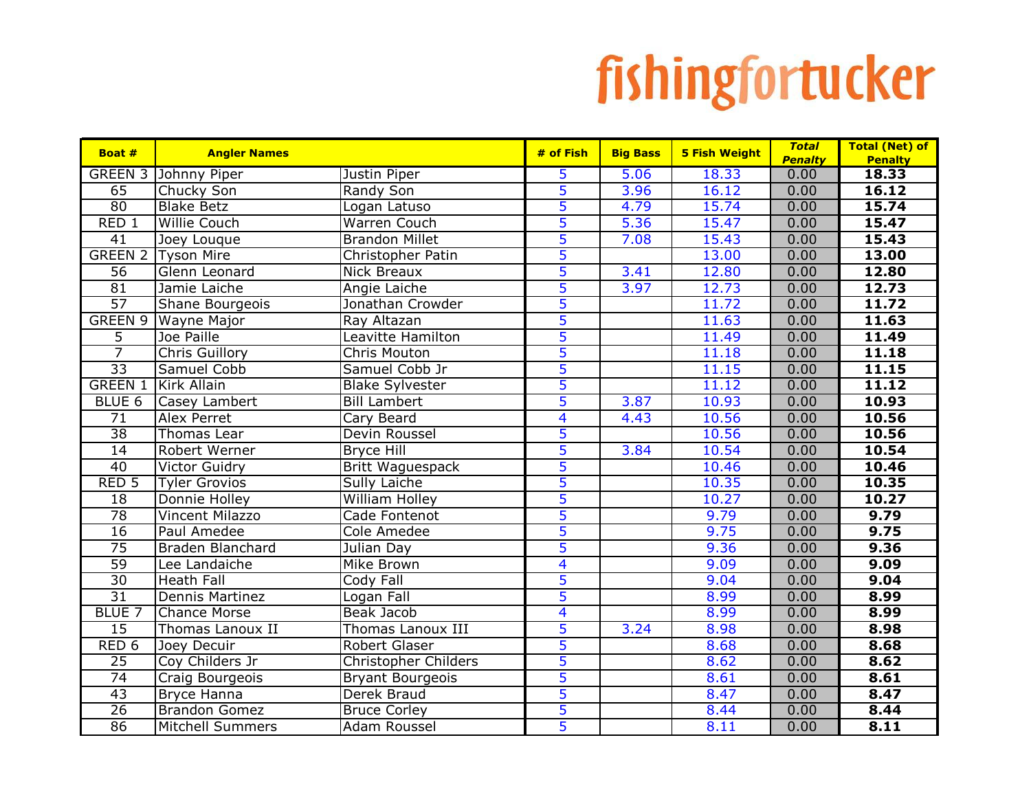| Boat #                  | <b>Angler Names</b>              |                                  | # of Fish               | <b>Big Bass</b> | <b>5 Fish Weight</b> | <b>Total</b>           | <b>Total (Net) of</b>   |
|-------------------------|----------------------------------|----------------------------------|-------------------------|-----------------|----------------------|------------------------|-------------------------|
| <b>GREEN 3</b>          | Johnny Piper                     | Justin Piper                     | 5                       | 5.06            | 18.33                | <b>Penalty</b><br>0.00 | <b>Penalty</b><br>18.33 |
| 65                      | Chucky Son                       | Randy Son                        | 5                       | 3.96            | 16.12                | 0.00                   | 16.12                   |
| 80                      | <b>Blake Betz</b>                | Logan Latuso                     | 5                       | 4.79            | 15.74                | 0.00                   | 15.74                   |
| RED <sub>1</sub>        | <b>Willie Couch</b>              | <b>Warren Couch</b>              | 5                       | 5.36            | 15.47                | 0.00                   | 15.47                   |
| $\overline{41}$         | Joey Louque                      | <b>Brandon Millet</b>            | 5                       | 7.08            | 15.43                | 0.00                   | 15.43                   |
| <b>GREEN 2</b>          | <b>Tyson Mire</b>                | Christopher Patin                | 5                       |                 | 13.00                | 0.00                   | 13.00                   |
| 56                      | Glenn Leonard                    | Nick Breaux                      | 5                       | 3.41            | 12.80                | 0.00                   | 12.80                   |
| 81                      | Jamie Laiche                     | Angie Laiche                     | 5                       | 3.97            | 12.73                | 0.00                   | 12.73                   |
| 57                      | Shane Bourgeois                  | Jonathan Crowder                 | 5                       |                 | 11.72                | 0.00                   | 11.72                   |
| <b>GREEN 9</b>          |                                  |                                  | $\overline{5}$          |                 | 11.63                | 0.00                   | 11.63                   |
| 5                       | <b>Wayne Major</b><br>Joe Paille | Ray Altazan<br>Leavitte Hamilton | 5                       |                 | 11.49                | 0.00                   | 11.49                   |
| $\overline{7}$          |                                  | Chris Mouton                     | 5                       |                 | 11.18                | 0.00                   | 11.18                   |
| $\overline{33}$         | Chris Guillory<br>Samuel Cobb    | Samuel Cobb Jr                   | 5                       |                 | 11.15                | 0.00                   | 11.15                   |
| <b>GREEN 1</b>          |                                  |                                  | 5                       |                 | 11.12                |                        | 11.12                   |
|                         | Kirk Allain                      | <b>Blake Sylvester</b>           | 5                       |                 |                      | 0.00                   |                         |
| BLUE <sub>6</sub><br>71 | Casey Lambert                    | <b>Bill Lambert</b>              |                         | 3.87            | 10.93                | 0.00                   | 10.93                   |
|                         | Alex Perret                      | Cary Beard                       | $\overline{\mathbf{4}}$ | 4.43            | 10.56                | 0.00                   | 10.56                   |
| $\overline{38}$         | Thomas Lear                      | Devin Roussel                    | $\overline{5}$          |                 | 10.56                | 0.00                   | 10.56                   |
| 14                      | Robert Werner                    | <b>Bryce Hill</b>                | 5                       | 3.84            | 10.54                | 0.00                   | 10.54                   |
| $\overline{40}$         | <b>Victor Guidry</b>             | Britt Waguespack                 | 5                       |                 | 10.46                | 0.00                   | 10.46                   |
| RED <sub>5</sub>        | <b>Tyler Grovios</b>             | <b>Sully Laiche</b>              | 5                       |                 | 10.35                | 0.00                   | 10.35                   |
| $\overline{18}$         | Donnie Holley                    | <b>William Holley</b>            | 5                       |                 | 10.27                | 0.00                   | 10.27                   |
| $\overline{78}$         | Vincent Milazzo                  | Cade Fontenot                    | 5                       |                 | 9.79                 | 0.00                   | 9.79                    |
| 16                      | Paul Amedee                      | Cole Amedee                      | 5                       |                 | 9.75                 | 0.00                   | 9.75                    |
| 75                      | <b>Braden Blanchard</b>          | Julian Day                       | 5                       |                 | 9.36                 | 0.00                   | 9.36                    |
| $\overline{59}$         | Lee Landaiche                    | Mike Brown                       | $\overline{\mathbf{4}}$ |                 | 9.09                 | 0.00                   | 9.09                    |
| $\overline{30}$         | <b>Heath Fall</b>                | Cody Fall                        | 5                       |                 | 9.04                 | 0.00                   | 9.04                    |
| $\overline{31}$         | <b>Dennis Martinez</b>           | Logan Fall                       | 5                       |                 | 8.99                 | 0.00                   | 8.99                    |
| <b>BLUE 7</b>           | <b>Chance Morse</b>              | Beak Jacob                       | $\overline{4}$          |                 | 8.99                 | 0.00                   | 8.99                    |
| 15                      | Thomas Lanoux II                 | Thomas Lanoux III                | 5                       | 3.24            | 8.98                 | 0.00                   | 8.98                    |
| RED <sub>6</sub>        | Joey Decuir                      | Robert Glaser                    | 5                       |                 | 8.68                 | 0.00                   | 8.68                    |
| $\overline{25}$         | Coy Childers Jr                  | <b>Christopher Childers</b>      | $\overline{5}$          |                 | 8.62                 | 0.00                   | 8.62                    |
| $\overline{74}$         | Craig Bourgeois                  | <b>Bryant Bourgeois</b>          | 5                       |                 | 8.61                 | 0.00                   | 8.61                    |
| $\overline{43}$         | <b>Bryce Hanna</b>               | Derek Braud                      | 5                       |                 | 8.47                 | 0.00                   | 8.47                    |
| $\overline{26}$         | <b>Brandon Gomez</b>             | <b>Bruce Corley</b>              | 5                       |                 | 8.44                 | 0.00                   | 8.44                    |
| 86                      | <b>Mitchell Summers</b>          | <b>Adam Roussel</b>              | 5                       |                 | 8.11                 | 0.00                   | 8.11                    |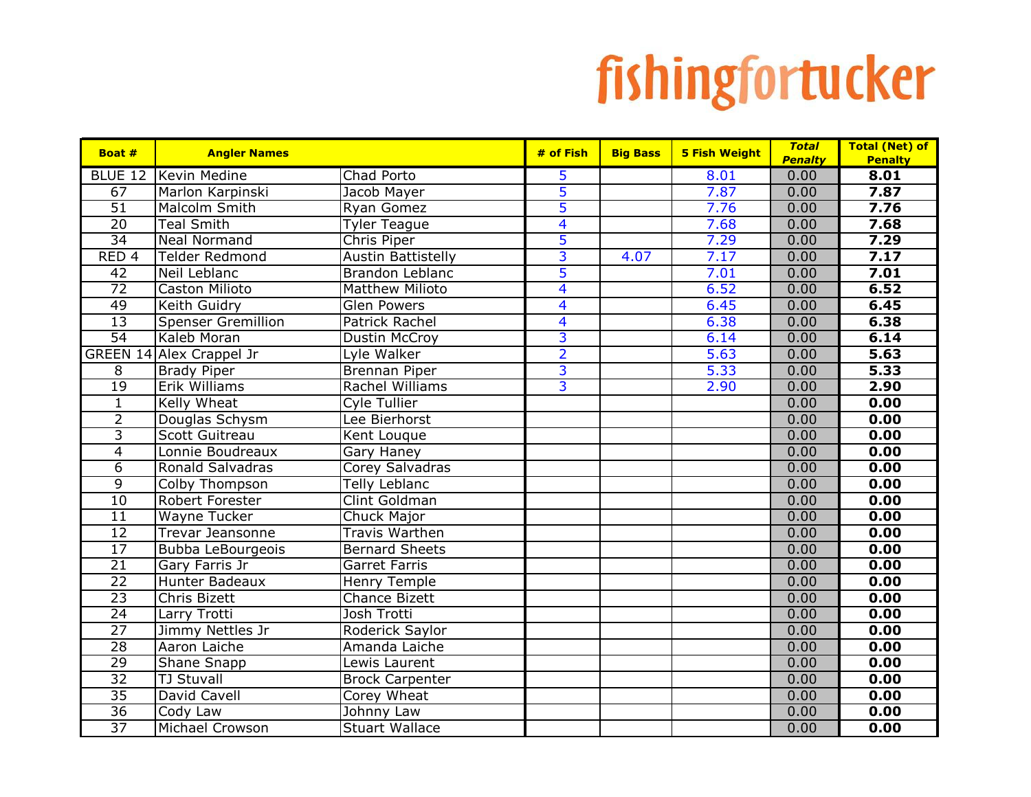| Boat #           | <b>Angler Names</b>             |                           | # of Fish               | <b>Big Bass</b> | <b>5 Fish Weight</b> | <b>Total</b><br><b>Penalty</b> | <b>Total (Net) of</b><br><b>Penalty</b> |
|------------------|---------------------------------|---------------------------|-------------------------|-----------------|----------------------|--------------------------------|-----------------------------------------|
| <b>BLUE 12</b>   | Kevin Medine                    | Chad Porto                | 5                       |                 | 8.01                 | 0.00                           | 8.01                                    |
| 67               | Marlon Karpinski                | Jacob Mayer               | 5                       |                 | 7.87                 | 0.00                           | 7.87                                    |
| $\overline{51}$  | <b>Malcolm Smith</b>            | Ryan Gomez                | 5                       |                 | 7.76                 | 0.00                           | 7.76                                    |
| $\overline{20}$  | <b>Teal Smith</b>               | <b>Tyler Teague</b>       | 4                       |                 | 7.68                 | 0.00                           | 7.68                                    |
| $\overline{34}$  | <b>Neal Normand</b>             | Chris Piper               | 5                       |                 | 7.29                 | 0.00                           | 7.29                                    |
| RED <sub>4</sub> | <b>Telder Redmond</b>           | <b>Austin Battistelly</b> | $\overline{3}$          | 4.07            | 7.17                 | 0.00                           | 7.17                                    |
| 42               | Neil Leblanc                    | Brandon Leblanc           | 5                       |                 | 7.01                 | 0.00                           | 7.01                                    |
| 72               | Caston Milioto                  | <b>Matthew Milioto</b>    | $\overline{\mathbf{4}}$ |                 | 6.52                 | 0.00                           | 6.52                                    |
| 49               | <b>Keith Guidry</b>             | <b>Glen Powers</b>        | 4                       |                 | 6.45                 | 0.00                           | 6.45                                    |
| $\overline{13}$  | <b>Spenser Gremillion</b>       | <b>Patrick Rachel</b>     | $\overline{4}$          |                 | 6.38                 | 0.00                           | 6.38                                    |
| $\overline{54}$  | Kaleb Moran                     | Dustin McCroy             | $\overline{3}$          |                 | 6.14                 | 0.00                           | 6.14                                    |
|                  | <b>GREEN 14 Alex Crappel Jr</b> | Lyle Walker               | $\overline{2}$          |                 | 5.63                 | 0.00                           | 5.63                                    |
| $\overline{8}$   | <b>Brady Piper</b>              | <b>Brennan Piper</b>      | 3                       |                 | 5.33                 | 0.00                           | 5.33                                    |
| $\overline{19}$  | <b>Erik Williams</b>            | Rachel Williams           | 3                       |                 | 2.90                 | 0.00                           | 2.90                                    |
| $\mathbf{1}$     | Kelly Wheat                     | Cyle Tullier              |                         |                 |                      | 0.00                           | 0.00                                    |
| $\overline{2}$   | Douglas Schysm                  | Lee Bierhorst             |                         |                 |                      | 0.00                           | 0.00                                    |
| $\overline{3}$   | <b>Scott Guitreau</b>           | Kent Louque               |                         |                 |                      | 0.00                           | 0.00                                    |
| $\overline{4}$   | Lonnie Boudreaux                | Gary Haney                |                         |                 |                      | 0.00                           | 0.00                                    |
| $\overline{6}$   | Ronald Salvadras                | Corey Salvadras           |                         |                 |                      | 0.00                           | 0.00                                    |
| $\overline{9}$   | Colby Thompson                  | Telly Leblanc             |                         |                 |                      | 0.00                           | 0.00                                    |
| 10               | Robert Forester                 | Clint Goldman             |                         |                 |                      | 0.00                           | 0.00                                    |
| $\overline{11}$  | Wayne Tucker                    | Chuck Major               |                         |                 |                      | 0.00                           | 0.00                                    |
| 12               | <b>Trevar Jeansonne</b>         | Travis Warthen            |                         |                 |                      | 0.00                           | 0.00                                    |
| 17               | <b>Bubba LeBourgeois</b>        | <b>Bernard Sheets</b>     |                         |                 |                      | 0.00                           | 0.00                                    |
| $\overline{21}$  | Gary Farris Jr                  | <b>Garret Farris</b>      |                         |                 |                      | 0.00                           | 0.00                                    |
| $\overline{22}$  | <b>Hunter Badeaux</b>           | <b>Henry Temple</b>       |                         |                 |                      | 0.00                           | 0.00                                    |
| $\overline{23}$  | <b>Chris Bizett</b>             | <b>Chance Bizett</b>      |                         |                 |                      | 0.00                           | 0.00                                    |
| $\overline{24}$  | Larry Trotti                    | Josh Trotti               |                         |                 |                      | 0.00                           | 0.00                                    |
| $\overline{27}$  | Jimmy Nettles Jr                | Roderick Saylor           |                         |                 |                      | 0.00                           | 0.00                                    |
| $\overline{28}$  | Aaron Laiche                    | Amanda Laiche             |                         |                 |                      | 0.00                           | 0.00                                    |
| $\overline{29}$  | Shane Snapp                     | Lewis Laurent             |                         |                 |                      | 0.00                           | 0.00                                    |
| $\overline{32}$  | <b>TJ Stuvall</b>               | <b>Brock Carpenter</b>    |                         |                 |                      | 0.00                           | 0.00                                    |
| $\overline{35}$  | David Cavell                    | Corey Wheat               |                         |                 |                      | 0.00                           | 0.00                                    |
| $\overline{36}$  | Cody Law                        | Johnny Law                |                         |                 |                      | 0.00                           | 0.00                                    |
| $\overline{37}$  | <b>Michael Crowson</b>          | <b>Stuart Wallace</b>     |                         |                 |                      | 0.00                           | 0.00                                    |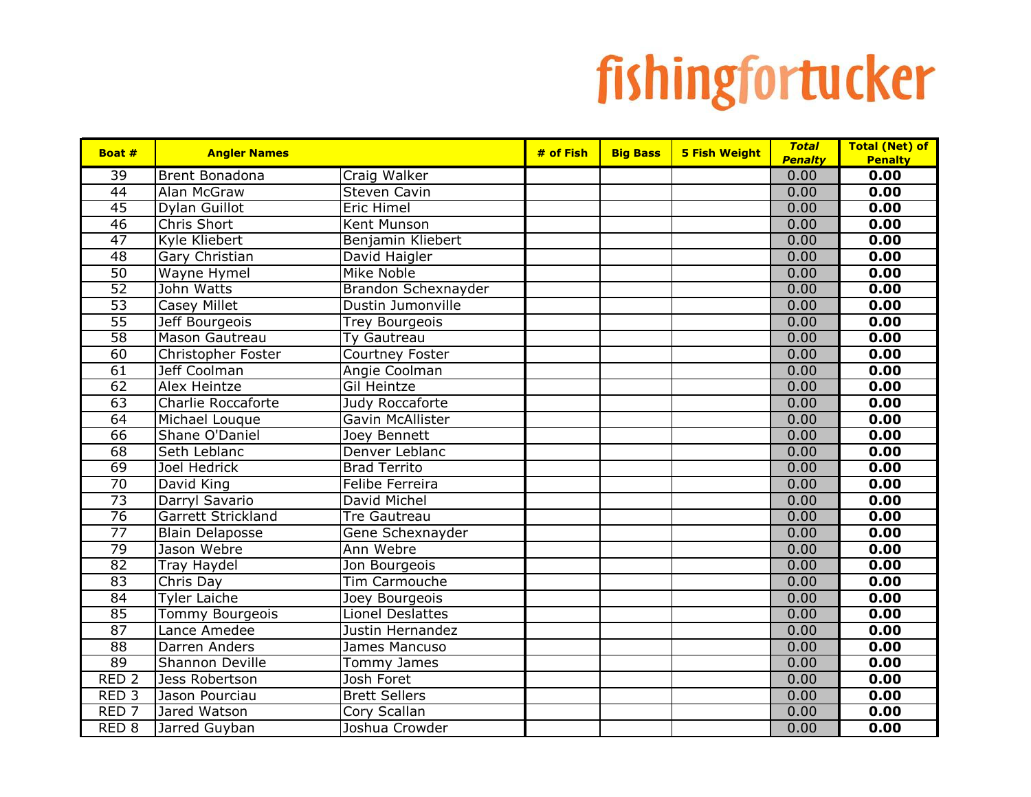| Boat #           | <b>Angler Names</b>    |                        | $#$ of Fish | <b>Big Bass</b> | <b>5 Fish Weight</b> | <b>Total</b>   | <b>Total (Net) of</b> |
|------------------|------------------------|------------------------|-------------|-----------------|----------------------|----------------|-----------------------|
|                  |                        |                        |             |                 |                      | <b>Penalty</b> | <b>Penalty</b>        |
| $\overline{39}$  | <b>Brent Bonadona</b>  | Craig Walker           |             |                 |                      | 0.00           | 0.00                  |
| $\overline{44}$  | Alan McGraw            | Steven Cavin           |             |                 |                      | 0.00           | 0.00                  |
| 45               | Dylan Guillot          | <b>Eric Himel</b>      |             |                 |                      | 0.00           | 0.00                  |
| 46               | <b>Chris Short</b>     | Kent Munson            |             |                 |                      | 0.00           | 0.00                  |
| $\overline{47}$  | Kyle Kliebert          | Benjamin Kliebert      |             |                 |                      | 0.00           | 0.00                  |
| 48               | Gary Christian         | David Haigler          |             |                 |                      | 0.00           | 0.00                  |
| 50               | <b>Wayne Hymel</b>     | <b>Mike Noble</b>      |             |                 |                      | 0.00           | 0.00                  |
| $\overline{52}$  | John Watts             | Brandon Schexnayder    |             |                 |                      | 0.00           | 0.00                  |
| $\overline{53}$  | Casey Millet           | Dustin Jumonville      |             |                 |                      | 0.00           | 0.00                  |
| $\overline{55}$  | Jeff Bourgeois         | <b>Trey Bourgeois</b>  |             |                 |                      | 0.00           | 0.00                  |
| $\overline{58}$  | <b>Mason Gautreau</b>  | <b>Ty Gautreau</b>     |             |                 |                      | 0.00           | 0.00                  |
| 60               | Christopher Foster     | Courtney Foster        |             |                 |                      | 0.00           | 0.00                  |
| 61               | Jeff Coolman           | Angie Coolman          |             |                 |                      | 0.00           | 0.00                  |
| 62               | <b>Alex Heintze</b>    | <b>Gil Heintze</b>     |             |                 |                      | 0.00           | 0.00                  |
| 63               | Charlie Roccaforte     | Judy Roccaforte        |             |                 |                      | 0.00           | 0.00                  |
| 64               | Michael Louque         | Gavin McAllister       |             |                 |                      | 0.00           | 0.00                  |
| 66               | Shane O'Daniel         | Joey Bennett           |             |                 |                      | 0.00           | 0.00                  |
| 68               | Seth Leblanc           | Denver Leblanc         |             |                 |                      | 0.00           | 0.00                  |
| 69               | Joel Hedrick           | <b>Brad Territo</b>    |             |                 |                      | 0.00           | 0.00                  |
| 70               | David King             | <b>Felibe Ferreira</b> |             |                 |                      | 0.00           | 0.00                  |
| $\overline{73}$  | Darryl Savario         | David Michel           |             |                 |                      | 0.00           | 0.00                  |
| $\overline{76}$  | Garrett Strickland     | Tre Gautreau           |             |                 |                      | 0.00           | 0.00                  |
| $\overline{77}$  | <b>Blain Delaposse</b> | Gene Schexnayder       |             |                 |                      | 0.00           | 0.00                  |
| 79               | Jason Webre            | Ann Webre              |             |                 |                      | 0.00           | 0.00                  |
| 82               | <b>Tray Haydel</b>     | Jon Bourgeois          |             |                 |                      | 0.00           | 0.00                  |
| 83               | Chris Day              | Tim Carmouche          |             |                 |                      | 0.00           | 0.00                  |
| 84               | <b>Tyler Laiche</b>    | Joey Bourgeois         |             |                 |                      | 0.00           | 0.00                  |
| 85               | <b>Tommy Bourgeois</b> | Lionel Deslattes       |             |                 |                      | 0.00           | 0.00                  |
| $\overline{87}$  | Lance Amedee           | Justin Hernandez       |             |                 |                      | 0.00           | 0.00                  |
| 88               | Darren Anders          | James Mancuso          |             |                 |                      | 0.00           | 0.00                  |
| 89               | Shannon Deville        | Tommy James            |             |                 |                      | 0.00           | 0.00                  |
| RED <sub>2</sub> | Jess Robertson         | Josh Foret             |             |                 |                      | 0.00           | 0.00                  |
| RED <sub>3</sub> | Jason Pourciau         | <b>Brett Sellers</b>   |             |                 |                      | 0.00           | 0.00                  |
| RED <sub>7</sub> | Jared Watson           | Cory Scallan           |             |                 |                      | 0.00           | 0.00                  |
| RED <sub>8</sub> | Jarred Guyban          | Joshua Crowder         |             |                 |                      | 0.00           | 0.00                  |